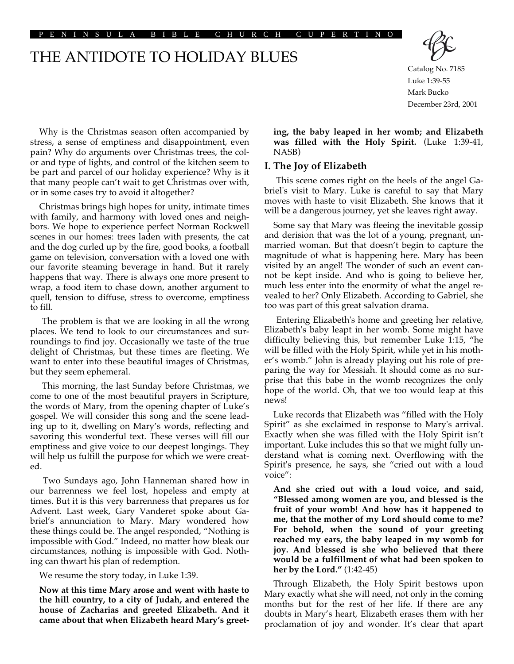PENINSULA BIBLE CHURCH CUPER

# THE ANTIDOTE TO HOLIDAY BLUES



Catalog No. 7185 Luke 1:39-55 Mark Bucko December 23rd, 2001

Why is the Christmas season often accompanied by stress, a sense of emptiness and disappointment, even pain? Why do arguments over Christmas trees, the color and type of lights, and control of the kitchen seem to be part and parcel of our holiday experience? Why is it that many people can't wait to get Christmas over with, or in some cases try to avoid it altogether?

Christmas brings high hopes for unity, intimate times with family, and harmony with loved ones and neighbors. We hope to experience perfect Norman Rockwell scenes in our homes: trees laden with presents, the cat and the dog curled up by the fire, good books, a football game on television, conversation with a loved one with our favorite steaming beverage in hand. But it rarely happens that way. There is always one more present to wrap, a food item to chase down, another argument to quell, tension to diffuse, stress to overcome, emptiness to fill.

The problem is that we are looking in all the wrong places. We tend to look to our circumstances and surroundings to find joy. Occasionally we taste of the true delight of Christmas, but these times are fleeting. We want to enter into these beautiful images of Christmas, but they seem ephemeral.

This morning, the last Sunday before Christmas, we come to one of the most beautiful prayers in Scripture, the words of Mary, from the opening chapter of Luke's gospel. We will consider this song and the scene leading up to it, dwelling on Mary's words, reflecting and savoring this wonderful text. These verses will fill our emptiness and give voice to our deepest longings. They will help us fulfill the purpose for which we were created.

Two Sundays ago, John Hanneman shared how in our barrenness we feel lost, hopeless and empty at times. But it is this very barrenness that prepares us for Advent. Last week, Gary Vanderet spoke about Gabriel's annunciation to Mary. Mary wondered how these things could be. The angel responded, "Nothing is impossible with God." Indeed, no matter how bleak our circumstances, nothing is impossible with God. Nothing can thwart his plan of redemption.

We resume the story today, in Luke 1:39.

**Now at this time Mary arose and went with haste to the hill country, to a city of Judah, and entered the house of Zacharias and greeted Elizabeth. And it came about that when Elizabeth heard Mary's greet-** **ing, the baby leaped in her womb; and Elizabeth was filled with the Holy Spirit.** (Luke 1:39-41, NASB)

## **I. The Joy of Elizabeth**

This scene comes right on the heels of the angel Gabriel's visit to Mary. Luke is careful to say that Mary moves with haste to visit Elizabeth. She knows that it will be a dangerous journey, yet she leaves right away.

Some say that Mary was fleeing the inevitable gossip and derision that was the lot of a young, pregnant, unmarried woman. But that doesn't begin to capture the magnitude of what is happening here. Mary has been visited by an angel! The wonder of such an event cannot be kept inside. And who is going to believe her, much less enter into the enormity of what the angel revealed to her? Only Elizabeth. According to Gabriel, she too was part of this great salvation drama.

Entering Elizabeth's home and greeting her relative, Elizabeth's baby leapt in her womb. Some might have difficulty believing this, but remember Luke 1:15, "he will be filled with the Holy Spirit, while yet in his mother's womb." John is already playing out his role of preparing the way for Messiah. It should come as no surprise that this babe in the womb recognizes the only hope of the world. Oh, that we too would leap at this news!

Luke records that Elizabeth was "filled with the Holy Spirit" as she exclaimed in response to Mary's arrival. Exactly when she was filled with the Holy Spirit isn't important. Luke includes this so that we might fully understand what is coming next. Overflowing with the Spirit's presence, he says, she "cried out with a loud voice":

**And she cried out with a loud voice, and said, "Blessed among women are you, and blessed is the fruit of your womb! And how has it happened to me, that the mother of my Lord should come to me? For behold, when the sound of your greeting reached my ears, the baby leaped in my womb for joy. And blessed is she who believed that there would be a fulfillment of what had been spoken to her by the Lord."** (1:42-45)

Through Elizabeth, the Holy Spirit bestows upon Mary exactly what she will need, not only in the coming months but for the rest of her life. If there are any doubts in Mary's heart, Elizabeth erases them with her proclamation of joy and wonder. It's clear that apart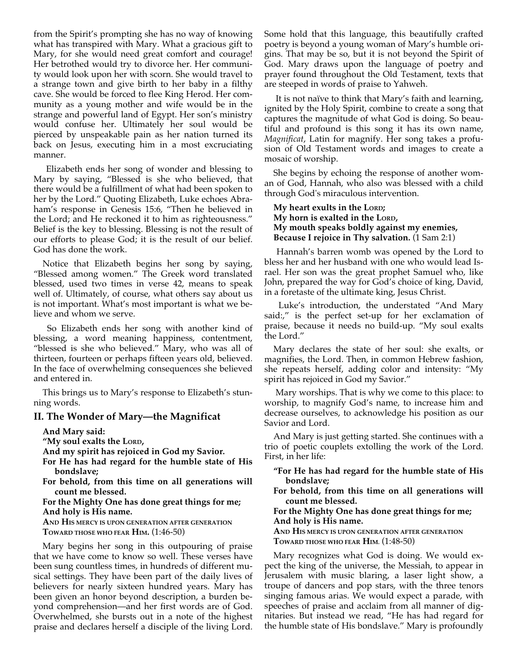from the Spirit's prompting she has no way of knowing what has transpired with Mary. What a gracious gift to Mary, for she would need great comfort and courage! Her betrothed would try to divorce her. Her community would look upon her with scorn. She would travel to a strange town and give birth to her baby in a filthy cave. She would be forced to flee King Herod. Her community as a young mother and wife would be in the strange and powerful land of Egypt. Her son's ministry would confuse her. Ultimately her soul would be pierced by unspeakable pain as her nation turned its back on Jesus, executing him in a most excruciating manner.

Elizabeth ends her song of wonder and blessing to Mary by saying, "Blessed is she who believed, that there would be a fulfillment of what had been spoken to her by the Lord." Quoting Elizabeth, Luke echoes Abraham's response in Genesis 15:6, "Then he believed in the Lord; and He reckoned it to him as righteousness." Belief is the key to blessing. Blessing is not the result of our efforts to please God; it is the result of our belief. God has done the work.

Notice that Elizabeth begins her song by saying, "Blessed among women." The Greek word translated blessed, used two times in verse 42, means to speak well of. Ultimately, of course, what others say about us is not important. What's most important is what we believe and whom we serve.

So Elizabeth ends her song with another kind of blessing, a word meaning happiness, contentment, "blessed is she who believed." Mary, who was all of thirteen, fourteen or perhaps fifteen years old, believed. In the face of overwhelming consequences she believed and entered in.

This brings us to Mary's response to Elizabeth's stunning words.

## **II. The Wonder of Mary—the Magnificat**

**And Mary said:** 

**"My soul exalts the LORD,**

**And my spirit has rejoiced in God my Savior.**

**For He has had regard for the humble state of His bondslave;**

**For behold, from this time on all generations will count me blessed.**

#### **For the Mighty One has done great things for me; And holy is His name.**

**AND HIS MERCY IS UPON GENERATION AFTER GENERATION TOWARD THOSE WHO FEAR HIM.** (1:46-50)

Mary begins her song in this outpouring of praise that we have come to know so well. These verses have been sung countless times, in hundreds of different musical settings. They have been part of the daily lives of believers for nearly sixteen hundred years. Mary has been given an honor beyond description, a burden beyond comprehension—and her first words are of God. Overwhelmed, she bursts out in a note of the highest praise and declares herself a disciple of the living Lord. Some hold that this language, this beautifully crafted poetry is beyond a young woman of Mary's humble origins. That may be so, but it is not beyond the Spirit of God. Mary draws upon the language of poetry and prayer found throughout the Old Testament, texts that are steeped in words of praise to Yahweh.

It is not naïve to think that Mary's faith and learning, ignited by the Holy Spirit, combine to create a song that captures the magnitude of what God is doing. So beautiful and profound is this song it has its own name, *Magnificat*, Latin for magnify. Her song takes a profusion of Old Testament words and images to create a mosaic of worship.

She begins by echoing the response of another woman of God, Hannah, who also was blessed with a child through God's miraculous intervention.

# **My heart exults in the LORD; My horn is exalted in the LORD, My mouth speaks boldly against my enemies, Because I rejoice in Thy salvation.** (1 Sam 2:1)

Hannah's barren womb was opened by the Lord to bless her and her husband with one who would lead Israel. Her son was the great prophet Samuel who, like John, prepared the way for God's choice of king, David, in a foretaste of the ultimate king, Jesus Christ.

Luke's introduction, the understated "And Mary said:," is the perfect set-up for her exclamation of praise, because it needs no build-up. "My soul exalts the Lord."

Mary declares the state of her soul: she exalts, or magnifies, the Lord. Then, in common Hebrew fashion, she repeats herself, adding color and intensity: "My spirit has rejoiced in God my Savior."

 Mary worships. That is why we come to this place: to worship, to magnify God's name, to increase him and decrease ourselves, to acknowledge his position as our Savior and Lord.

And Mary is just getting started. She continues with a trio of poetic couplets extolling the work of the Lord. First, in her life:

**"For He has had regard for the humble state of His bondslave;**

**For behold, from this time on all generations will count me blessed.**

**For the Mighty One has done great things for me; And holy is His name.**

**AND HIS MERCY IS UPON GENERATION AFTER GENERATION TOWARD THOSE WHO FEAR HIM.** (1:48-50)

Mary recognizes what God is doing. We would expect the king of the universe, the Messiah, to appear in Jerusalem with music blaring, a laser light show, a troupe of dancers and pop stars, with the three tenors singing famous arias. We would expect a parade, with speeches of praise and acclaim from all manner of dignitaries. But instead we read, "He has had regard for the humble state of His bondslave." Mary is profoundly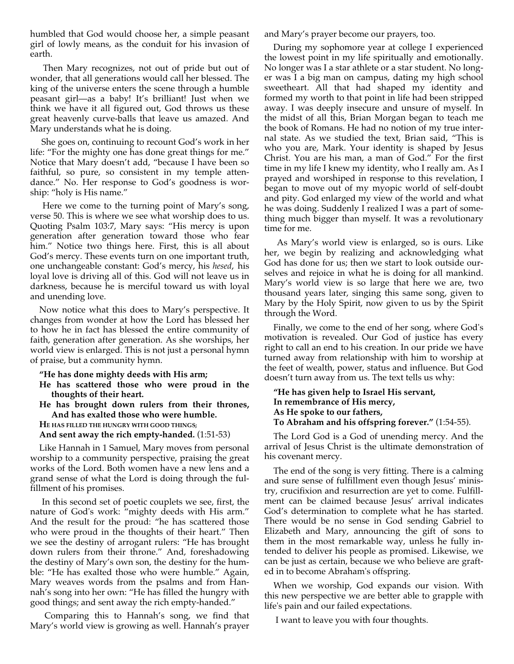humbled that God would choose her, a simple peasant girl of lowly means, as the conduit for his invasion of earth.

Then Mary recognizes, not out of pride but out of wonder, that all generations would call her blessed. The king of the universe enters the scene through a humble peasant girl—as a baby! It's brilliant! Just when we think we have it all figured out, God throws us these great heavenly curve-balls that leave us amazed. And Mary understands what he is doing.

 She goes on, continuing to recount God's work in her life: "For the mighty one has done great things for me." Notice that Mary doesn't add, "because I have been so faithful, so pure, so consistent in my temple attendance." No. Her response to God's goodness is worship: "holy is His name."

Here we come to the turning point of Mary's song, verse 50. This is where we see what worship does to us. Quoting Psalm 103:7, Mary says: "His mercy is upon generation after generation toward those who fear him." Notice two things here. First, this is all about God's mercy. These events turn on one important truth, one unchangeable constant: God's mercy, his *hesed*, his loyal love is driving all of this. God will not leave us in darkness, because he is merciful toward us with loyal and unending love.

Now notice what this does to Mary's perspective. It changes from wonder at how the Lord has blessed her to how he in fact has blessed the entire community of faith, generation after generation. As she worships, her world view is enlarged. This is not just a personal hymn of praise, but a community hymn.

```
"He has done mighty deeds with His arm;
```
- **He has scattered those who were proud in the thoughts of their heart.**
- **He has brought down rulers from their thrones, And has exalted those who were humble.**
- **HE HAS FILLED THE HUNGRY WITH GOOD THINGS;**
- **And sent away the rich empty-handed.** (1:51-53)

Like Hannah in 1 Samuel, Mary moves from personal worship to a community perspective, praising the great works of the Lord. Both women have a new lens and a grand sense of what the Lord is doing through the fulfillment of his promises.

In this second set of poetic couplets we see, first, the nature of God's work: "mighty deeds with His arm." And the result for the proud: "he has scattered those who were proud in the thoughts of their heart." Then we see the destiny of arrogant rulers: "He has brought down rulers from their throne." And, foreshadowing the destiny of Mary's own son, the destiny for the humble: "He has exalted those who were humble." Again, Mary weaves words from the psalms and from Hannah's song into her own: "He has filled the hungry with good things; and sent away the rich empty-handed."

Comparing this to Hannah's song, we find that Mary's world view is growing as well. Hannah's prayer

and Mary's prayer become our prayers, too.

During my sophomore year at college I experienced the lowest point in my life spiritually and emotionally. No longer was I a star athlete or a star student. No longer was I a big man on campus, dating my high school sweetheart. All that had shaped my identity and formed my worth to that point in life had been stripped away. I was deeply insecure and unsure of myself. In the midst of all this, Brian Morgan began to teach me the book of Romans. He had no notion of my true internal state. As we studied the text, Brian said, "This is who you are, Mark. Your identity is shaped by Jesus Christ. You are his man, a man of God." For the first time in my life I knew my identity, who I really am. As I prayed and worshiped in response to this revelation, I began to move out of my myopic world of self-doubt and pity. God enlarged my view of the world and what he was doing. Suddenly I realized I was a part of something much bigger than myself. It was a revolutionary time for me.

As Mary's world view is enlarged, so is ours. Like her, we begin by realizing and acknowledging what God has done for us; then we start to look outside ourselves and rejoice in what he is doing for all mankind. Mary's world view is so large that here we are, two thousand years later, singing this same song, given to Mary by the Holy Spirit, now given to us by the Spirit through the Word.

Finally, we come to the end of her song, where God's motivation is revealed. Our God of justice has every right to call an end to his creation. In our pride we have turned away from relationship with him to worship at the feet of wealth, power, status and influence. But God doesn't turn away from us. The text tells us why:

```
"He has given help to Israel His servant,
In remembrance of His mercy,
As He spoke to our fathers, 
To Abraham and his offspring forever." (1:54-55).
```
The Lord God is a God of unending mercy. And the arrival of Jesus Christ is the ultimate demonstration of his covenant mercy.

The end of the song is very fitting. There is a calming and sure sense of fulfillment even though Jesus' ministry, crucifixion and resurrection are yet to come. Fulfillment can be claimed because Jesus' arrival indicates God's determination to complete what he has started. There would be no sense in God sending Gabriel to Elizabeth and Mary, announcing the gift of sons to them in the most remarkable way, unless he fully intended to deliver his people as promised. Likewise, we can be just as certain, because we who believe are grafted in to become Abraham's offspring.

When we worship, God expands our vision. With this new perspective we are better able to grapple with life's pain and our failed expectations.

I want to leave you with four thoughts.